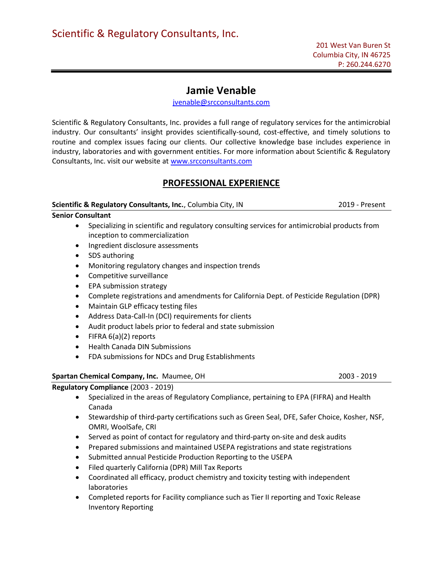# Jamie Venable

jvenable@srcconsultants.com

Scientific & Regulatory Consultants, Inc. provides a full range of regulatory services for the antimicrobial industry. Our consultants' insight provides scientifically-sound, cost-effective, and timely solutions to routine and complex issues facing our clients. Our collective knowledge base includes experience in industry, laboratories and with government entities. For more information about Scientific & Regulatory Consultants, Inc. visit our website at www.srcconsultants.com

# PROFESSIONAL EXPERIENCE

## Scientific & Regulatory Consultants, Inc., Columbia City, IN 2019 - Present

Senior Consultant

- Specializing in scientific and regulatory consulting services for antimicrobial products from inception to commercialization
- Ingredient disclosure assessments
- SDS authoring
- Monitoring regulatory changes and inspection trends
- Competitive surveillance
- EPA submission strategy
- Complete registrations and amendments for California Dept. of Pesticide Regulation (DPR)
- Maintain GLP efficacy testing files
- Address Data-Call-In (DCI) requirements for clients
- Audit product labels prior to federal and state submission
- FIFRA 6(a)(2) reports
- Health Canada DIN Submissions
- FDA submissions for NDCs and Drug Establishments

## Spartan Chemical Company, Inc. Maumee, OH 2003 - 2019

## Regulatory Compliance (2003 - 2019)

- Specialized in the areas of Regulatory Compliance, pertaining to EPA (FIFRA) and Health Canada
- Stewardship of third-party certifications such as Green Seal, DFE, Safer Choice, Kosher, NSF, OMRI, WoolSafe, CRI
- Served as point of contact for regulatory and third-party on-site and desk audits
- Prepared submissions and maintained USEPA registrations and state registrations
- Submitted annual Pesticide Production Reporting to the USEPA
- Filed quarterly California (DPR) Mill Tax Reports
- Coordinated all efficacy, product chemistry and toxicity testing with independent laboratories
- Completed reports for Facility compliance such as Tier II reporting and Toxic Release Inventory Reporting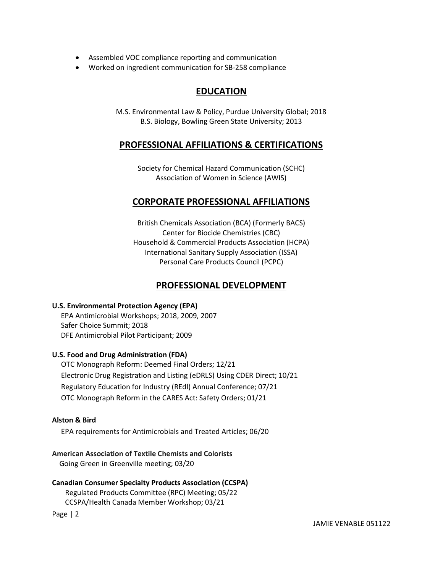- Assembled VOC compliance reporting and communication
- Worked on ingredient communication for SB-258 compliance

# EDUCATION

M.S. Environmental Law & Policy, Purdue University Global; 2018 B.S. Biology, Bowling Green State University; 2013

## PROFESSIONAL AFFILIATIONS & CERTIFICATIONS

Society for Chemical Hazard Communication (SCHC) Association of Women in Science (AWIS)

## CORPORATE PROFESSIONAL AFFILIATIONS

British Chemicals Association (BCA) (Formerly BACS) Center for Biocide Chemistries (CBC) Household & Commercial Products Association (HCPA) International Sanitary Supply Association (ISSA) Personal Care Products Council (PCPC)

# PROFESSIONAL DEVELOPMENT

## U.S. Environmental Protection Agency (EPA)

EPA Antimicrobial Workshops; 2018, 2009, 2007 Safer Choice Summit; 2018 DFE Antimicrobial Pilot Participant; 2009

## U.S. Food and Drug Administration (FDA)

 OTC Monograph Reform: Deemed Final Orders; 12/21 Electronic Drug Registration and Listing (eDRLS) Using CDER Direct; 10/21 Regulatory Education for Industry (REdl) Annual Conference; 07/21 OTC Monograph Reform in the CARES Act: Safety Orders; 01/21

## Alston & Bird

EPA requirements for Antimicrobials and Treated Articles; 06/20

American Association of Textile Chemists and Colorists Going Green in Greenville meeting; 03/20

## Canadian Consumer Specialty Products Association (CCSPA) Regulated Products Committee (RPC) Meeting; 05/22 CCSPA/Health Canada Member Workshop; 03/21

Page | 2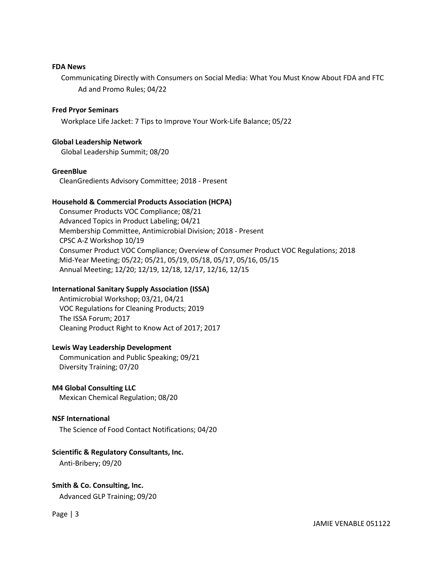#### FDA News

 Communicating Directly with Consumers on Social Media: What You Must Know About FDA and FTC Ad and Promo Rules; 04/22

#### Fred Pryor Seminars

Workplace Life Jacket: 7 Tips to Improve Your Work-Life Balance; 05/22

#### Global Leadership Network

Global Leadership Summit; 08/20

#### **GreenBlue**

CleanGredients Advisory Committee; 2018 - Present

#### Household & Commercial Products Association (HCPA)

 Consumer Products VOC Compliance; 08/21 Advanced Topics in Product Labeling; 04/21 Membership Committee, Antimicrobial Division; 2018 - Present CPSC A-Z Workshop 10/19 Consumer Product VOC Compliance; Overview of Consumer Product VOC Regulations; 2018 Mid-Year Meeting; 05/22; 05/21, 05/19, 05/18, 05/17, 05/16, 05/15 Annual Meeting; 12/20; 12/19, 12/18, 12/17, 12/16, 12/15

#### International Sanitary Supply Association (ISSA)

 Antimicrobial Workshop; 03/21, 04/21 VOC Regulations for Cleaning Products; 2019 The ISSA Forum; 2017 Cleaning Product Right to Know Act of 2017; 2017

#### Lewis Way Leadership Development

 Communication and Public Speaking; 09/21 Diversity Training; 07/20

#### M4 Global Consulting LLC

Mexican Chemical Regulation; 08/20

#### NSF International

The Science of Food Contact Notifications; 04/20

#### Scientific & Regulatory Consultants, Inc.

Anti-Bribery; 09/20

## Smith & Co. Consulting, Inc. Advanced GLP Training; 09/20

Page | 3